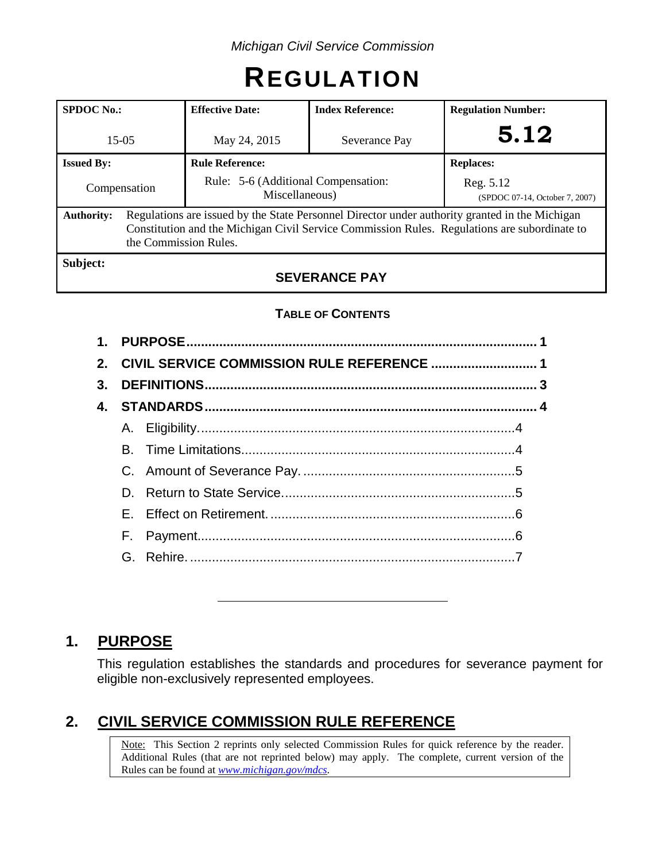# **REGULATION**

| <b>SPDOC</b> No.: |                                                                                                                                                                                                                         | <b>Effective Date:</b><br><b>Index Reference:</b>     |               | <b>Regulation Number:</b>                   |  |
|-------------------|-------------------------------------------------------------------------------------------------------------------------------------------------------------------------------------------------------------------------|-------------------------------------------------------|---------------|---------------------------------------------|--|
| $15-05$           |                                                                                                                                                                                                                         | May 24, 2015                                          | Severance Pay | 5.12                                        |  |
| <b>Issued By:</b> |                                                                                                                                                                                                                         | <b>Rule Reference:</b>                                |               | <b>Replaces:</b>                            |  |
| Compensation      |                                                                                                                                                                                                                         | Rule: 5-6 (Additional Compensation:<br>Miscellaneous) |               | Reg. 5.12<br>(SPDOC 07-14, October 7, 2007) |  |
| <b>Authority:</b> | Regulations are issued by the State Personnel Director under authority granted in the Michigan<br>Constitution and the Michigan Civil Service Commission Rules. Regulations are subordinate to<br>the Commission Rules. |                                                       |               |                                             |  |
| Subject:          |                                                                                                                                                                                                                         |                                                       |               |                                             |  |

# **SEVERANCE PAY**

## **TABLE OF CONTENTS**

| 2. CIVIL SERVICE COMMISSION RULE REFERENCE  1 |  |  |  |  |  |
|-----------------------------------------------|--|--|--|--|--|
|                                               |  |  |  |  |  |
|                                               |  |  |  |  |  |
|                                               |  |  |  |  |  |
|                                               |  |  |  |  |  |
|                                               |  |  |  |  |  |
|                                               |  |  |  |  |  |
|                                               |  |  |  |  |  |
|                                               |  |  |  |  |  |
|                                               |  |  |  |  |  |
|                                               |  |  |  |  |  |

# **1. PURPOSE**

This regulation establishes the standards and procedures for severance payment for eligible non-exclusively represented employees.

# **2. CIVIL SERVICE COMMISSION RULE REFERENCE**

Note: This Section 2 reprints only selected Commission Rules for quick reference by the reader. Additional Rules (that are not reprinted below) may apply. The complete, current version of the Rules can be found at *[www.michigan.gov/mdcs](http://www.michigan.gov/mdcs)*.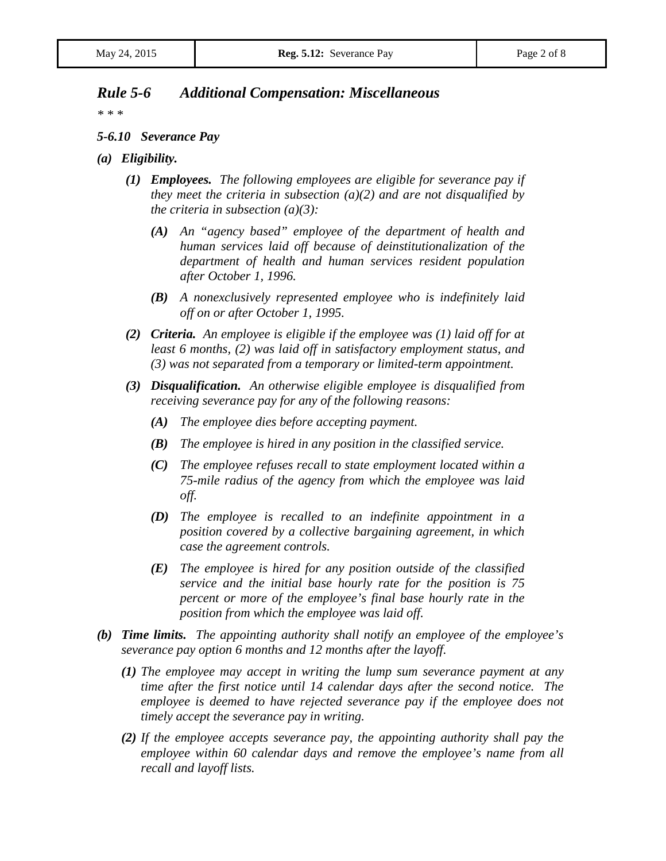## *Rule 5-6 Additional Compensation: Miscellaneous*

*\* \* \**

#### *5-6.10 Severance Pay*

- *(a) Eligibility.*
	- *(1) Employees. The following employees are eligible for severance pay if they meet the criteria in subsection (a)(2) and are not disqualified by the criteria in subsection (a)(3):*
		- *(A) An "agency based" employee of the department of health and human services laid off because of deinstitutionalization of the department of health and human services resident population after October 1, 1996.*
		- *(B) A nonexclusively represented employee who is indefinitely laid off on or after October 1, 1995.*
	- *(2) Criteria. An employee is eligible if the employee was (1) laid off for at least 6 months, (2) was laid off in satisfactory employment status, and (3) was not separated from a temporary or limited-term appointment.*
	- *(3) Disqualification. An otherwise eligible employee is disqualified from receiving severance pay for any of the following reasons:*
		- *(A) The employee dies before accepting payment.*
		- *(B) The employee is hired in any position in the classified service.*
		- *(C) The employee refuses recall to state employment located within a 75-mile radius of the agency from which the employee was laid off.*
		- *(D) The employee is recalled to an indefinite appointment in a position covered by a collective bargaining agreement, in which case the agreement controls.*
		- *(E) The employee is hired for any position outside of the classified service and the initial base hourly rate for the position is 75 percent or more of the employee's final base hourly rate in the position from which the employee was laid off.*
- *(b) Time limits. The appointing authority shall notify an employee of the employee's severance pay option 6 months and 12 months after the layoff.*
	- *(1) The employee may accept in writing the lump sum severance payment at any time after the first notice until 14 calendar days after the second notice. The employee is deemed to have rejected severance pay if the employee does not timely accept the severance pay in writing.*
	- *(2) If the employee accepts severance pay, the appointing authority shall pay the employee within 60 calendar days and remove the employee's name from all recall and layoff lists.*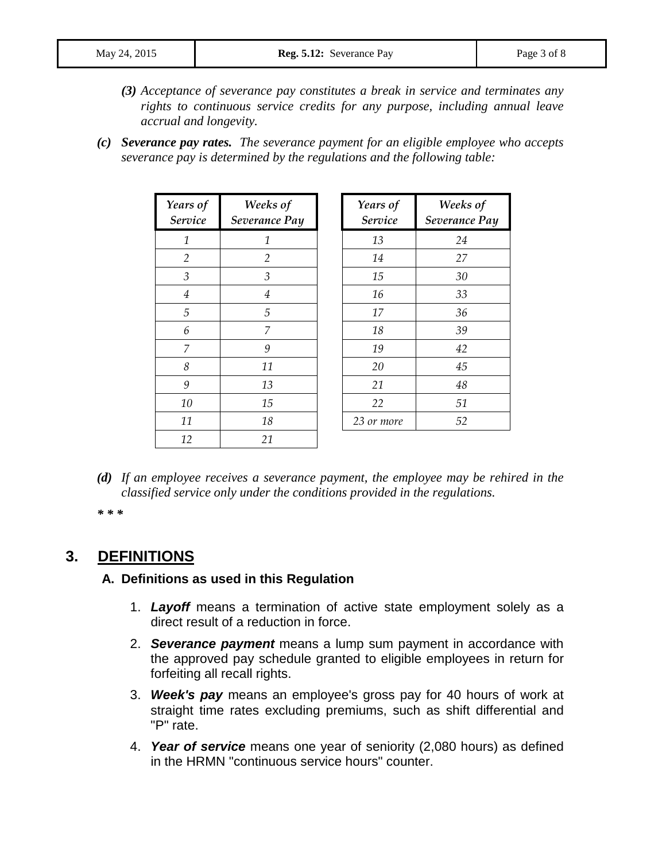- *(3) Acceptance of severance pay constitutes a break in service and terminates any rights to continuous service credits for any purpose, including annual leave accrual and longevity.*
- *(c) Severance pay rates. The severance payment for an eligible employee who accepts severance pay is determined by the regulations and the following table:*

| Years of<br>Service | Weeks of<br>Severance Pay | Years of<br>Service | Weeks of<br>Severance Pay |
|---------------------|---------------------------|---------------------|---------------------------|
| $\mathbf{1}$        | $\mathcal{I}$             | 13                  | 24                        |
| 2                   | 2                         | 14                  | 27                        |
| 3                   | 3                         | 15                  | 30                        |
| $\overline{4}$      | $\overline{4}$            | 16                  | 33                        |
| 5                   | 5                         | 17                  | 36                        |
| 6                   | 7                         | 18                  | 39                        |
| 7                   | 9                         | 19                  | 42                        |
| 8                   | 11                        | 20                  | 45                        |
| 9                   | 13                        | 21                  | 48                        |
| 10                  | 15                        | 22                  | 51                        |
| 11                  | 18                        | 23 or more          | 52                        |
| 12                  | 21                        |                     |                           |

*(d) If an employee receives a severance payment, the employee may be rehired in the classified service only under the conditions provided in the regulations.*

*\* \* \**

# **3. DEFINITIONS**

#### **A. Definitions as used in this Regulation**

- 1. *Layoff* means a termination of active state employment solely as a direct result of a reduction in force.
- 2. *Severance payment* means a lump sum payment in accordance with the approved pay schedule granted to eligible employees in return for forfeiting all recall rights.
- 3. *Week's pay* means an employee's gross pay for 40 hours of work at straight time rates excluding premiums, such as shift differential and "P" rate.
- 4. *Year of service* means one year of seniority (2,080 hours) as defined in the HRMN "continuous service hours" counter.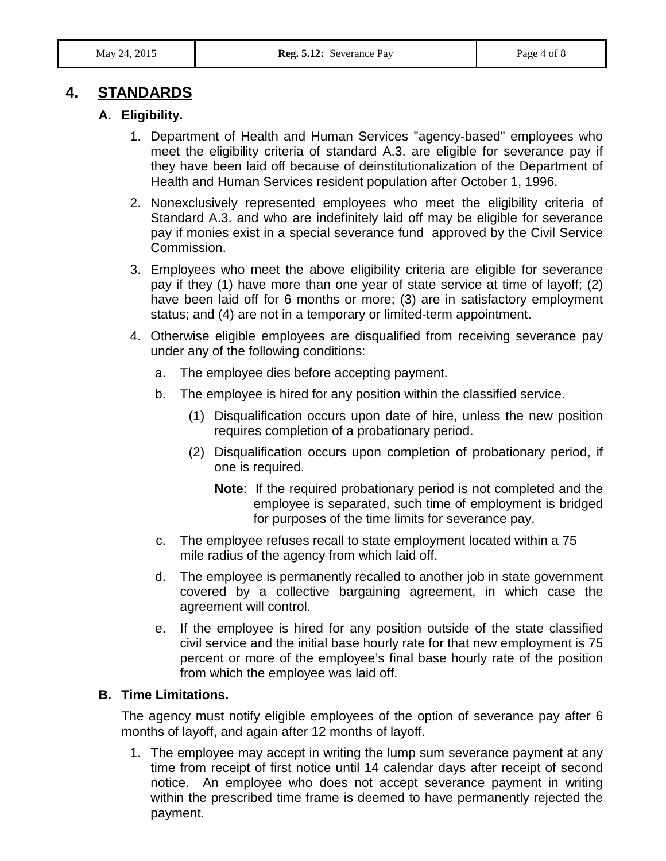# **4. STANDARDS**

## **A. Eligibility.**

- 1. Department of Health and Human Services "agency-based" employees who meet the eligibility criteria of standard A.3. are eligible for severance pay if they have been laid off because of deinstitutionalization of the Department of Health and Human Services resident population after October 1, 1996.
- 2. Nonexclusively represented employees who meet the eligibility criteria of Standard A.3. and who are indefinitely laid off may be eligible for severance pay if monies exist in a special severance fund approved by the Civil Service Commission.
- 3. Employees who meet the above eligibility criteria are eligible for severance pay if they (1) have more than one year of state service at time of layoff; (2) have been laid off for 6 months or more; (3) are in satisfactory employment status; and (4) are not in a temporary or limited-term appointment.
- 4. Otherwise eligible employees are disqualified from receiving severance pay under any of the following conditions:
	- a. The employee dies before accepting payment.
	- b. The employee is hired for any position within the classified service.
		- (1) Disqualification occurs upon date of hire, unless the new position requires completion of a probationary period.
		- (2) Disqualification occurs upon completion of probationary period, if one is required.
			- **Note**: If the required probationary period is not completed and the employee is separated, such time of employment is bridged for purposes of the time limits for severance pay.
	- c. The employee refuses recall to state employment located within a 75 mile radius of the agency from which laid off.
	- d. The employee is permanently recalled to another job in state government covered by a collective bargaining agreement, in which case the agreement will control.
	- e. If the employee is hired for any position outside of the state classified civil service and the initial base hourly rate for that new employment is 75 percent or more of the employee's final base hourly rate of the position from which the employee was laid off.

#### **B. Time Limitations.**

The agency must notify eligible employees of the option of severance pay after 6 months of layoff, and again after 12 months of layoff.

1. The employee may accept in writing the lump sum severance payment at any time from receipt of first notice until 14 calendar days after receipt of second notice. An employee who does not accept severance payment in writing within the prescribed time frame is deemed to have permanently rejected the payment.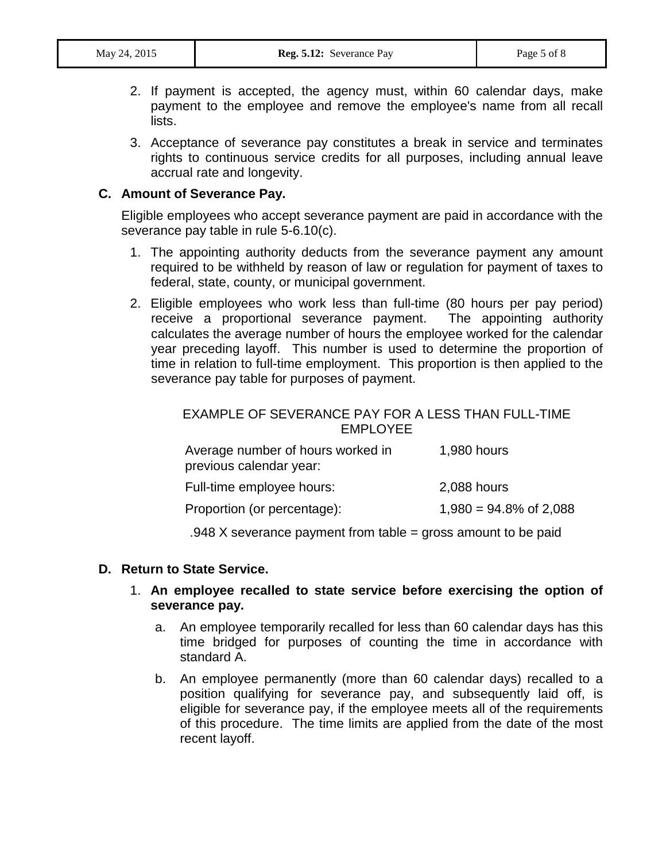- 2. If payment is accepted, the agency must, within 60 calendar days, make payment to the employee and remove the employee's name from all recall lists.
- 3. Acceptance of severance pay constitutes a break in service and terminates rights to continuous service credits for all purposes, including annual leave accrual rate and longevity.

#### **C. Amount of Severance Pay.**

Eligible employees who accept severance payment are paid in accordance with the severance pay table in rule 5-6.10(c).

- 1. The appointing authority deducts from the severance payment any amount required to be withheld by reason of law or regulation for payment of taxes to federal, state, county, or municipal government.
- 2. Eligible employees who work less than full-time (80 hours per pay period) receive a proportional severance payment. The appointing authority calculates the average number of hours the employee worked for the calendar year preceding layoff. This number is used to determine the proportion of time in relation to full-time employment. This proportion is then applied to the severance pay table for purposes of payment.

#### EXAMPLE OF SEVERANCE PAY FOR A LESS THAN FULL-TIME EMPLOYEE

| Average number of hours worked in<br>previous calendar year: | 1,980 hours               |
|--------------------------------------------------------------|---------------------------|
| Full-time employee hours:                                    | 2,088 hours               |
| Proportion (or percentage):                                  | $1,980 = 94.8\%$ of 2,088 |

.948 X severance payment from table = gross amount to be paid

#### **D. Return to State Service.**

#### 1. **An employee recalled to state service before exercising the option of severance pay.**

- a. An employee temporarily recalled for less than 60 calendar days has this time bridged for purposes of counting the time in accordance with standard A.
- b. An employee permanently (more than 60 calendar days) recalled to a position qualifying for severance pay, and subsequently laid off, is eligible for severance pay, if the employee meets all of the requirements of this procedure. The time limits are applied from the date of the most recent layoff.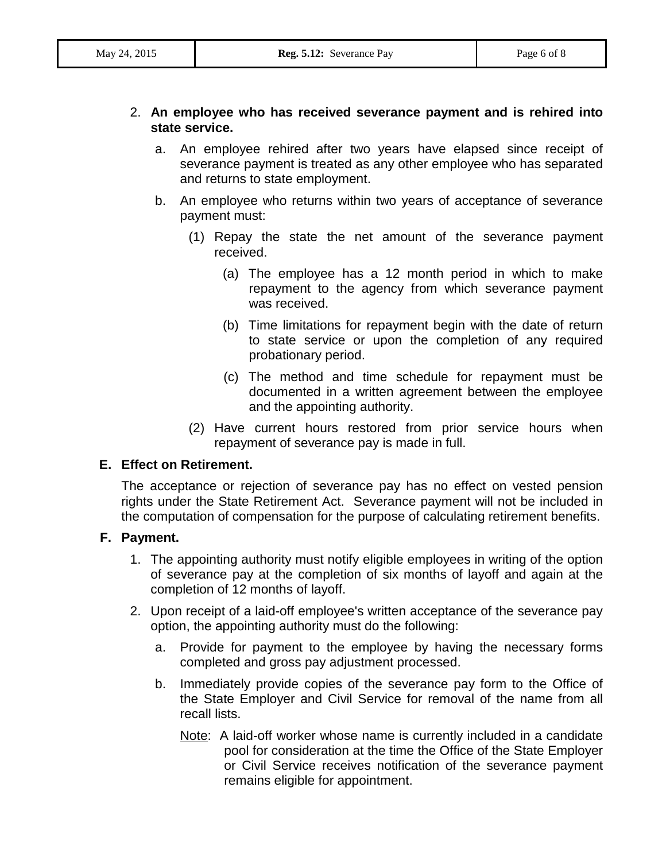#### 2. **An employee who has received severance payment and is rehired into state service.**

- a. An employee rehired after two years have elapsed since receipt of severance payment is treated as any other employee who has separated and returns to state employment.
- b. An employee who returns within two years of acceptance of severance payment must:
	- (1) Repay the state the net amount of the severance payment received.
		- (a) The employee has a 12 month period in which to make repayment to the agency from which severance payment was received.
		- (b) Time limitations for repayment begin with the date of return to state service or upon the completion of any required probationary period.
		- (c) The method and time schedule for repayment must be documented in a written agreement between the employee and the appointing authority.
	- (2) Have current hours restored from prior service hours when repayment of severance pay is made in full.

#### **E. Effect on Retirement.**

The acceptance or rejection of severance pay has no effect on vested pension rights under the State Retirement Act. Severance payment will not be included in the computation of compensation for the purpose of calculating retirement benefits.

#### **F. Payment.**

- 1. The appointing authority must notify eligible employees in writing of the option of severance pay at the completion of six months of layoff and again at the completion of 12 months of layoff.
- 2. Upon receipt of a laid-off employee's written acceptance of the severance pay option, the appointing authority must do the following:
	- a. Provide for payment to the employee by having the necessary forms completed and gross pay adjustment processed.
	- b. Immediately provide copies of the severance pay form to the Office of the State Employer and Civil Service for removal of the name from all recall lists.
		- Note: A laid-off worker whose name is currently included in a candidate pool for consideration at the time the Office of the State Employer or Civil Service receives notification of the severance payment remains eligible for appointment.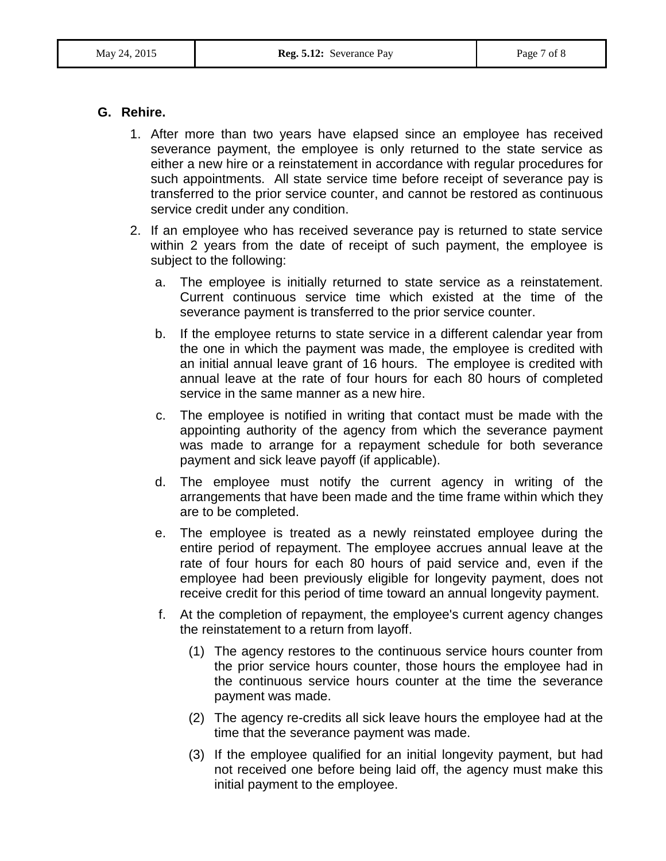#### **G. Rehire.**

- 1. After more than two years have elapsed since an employee has received severance payment, the employee is only returned to the state service as either a new hire or a reinstatement in accordance with regular procedures for such appointments. All state service time before receipt of severance pay is transferred to the prior service counter, and cannot be restored as continuous service credit under any condition.
- 2. If an employee who has received severance pay is returned to state service within 2 years from the date of receipt of such payment, the employee is subject to the following:
	- a. The employee is initially returned to state service as a reinstatement. Current continuous service time which existed at the time of the severance payment is transferred to the prior service counter.
	- b. If the employee returns to state service in a different calendar year from the one in which the payment was made, the employee is credited with an initial annual leave grant of 16 hours. The employee is credited with annual leave at the rate of four hours for each 80 hours of completed service in the same manner as a new hire.
	- c. The employee is notified in writing that contact must be made with the appointing authority of the agency from which the severance payment was made to arrange for a repayment schedule for both severance payment and sick leave payoff (if applicable).
	- d. The employee must notify the current agency in writing of the arrangements that have been made and the time frame within which they are to be completed.
	- e. The employee is treated as a newly reinstated employee during the entire period of repayment. The employee accrues annual leave at the rate of four hours for each 80 hours of paid service and, even if the employee had been previously eligible for longevity payment, does not receive credit for this period of time toward an annual longevity payment.
	- f. At the completion of repayment, the employee's current agency changes the reinstatement to a return from layoff.
		- (1) The agency restores to the continuous service hours counter from the prior service hours counter, those hours the employee had in the continuous service hours counter at the time the severance payment was made.
		- (2) The agency re-credits all sick leave hours the employee had at the time that the severance payment was made.
		- (3) If the employee qualified for an initial longevity payment, but had not received one before being laid off, the agency must make this initial payment to the employee.